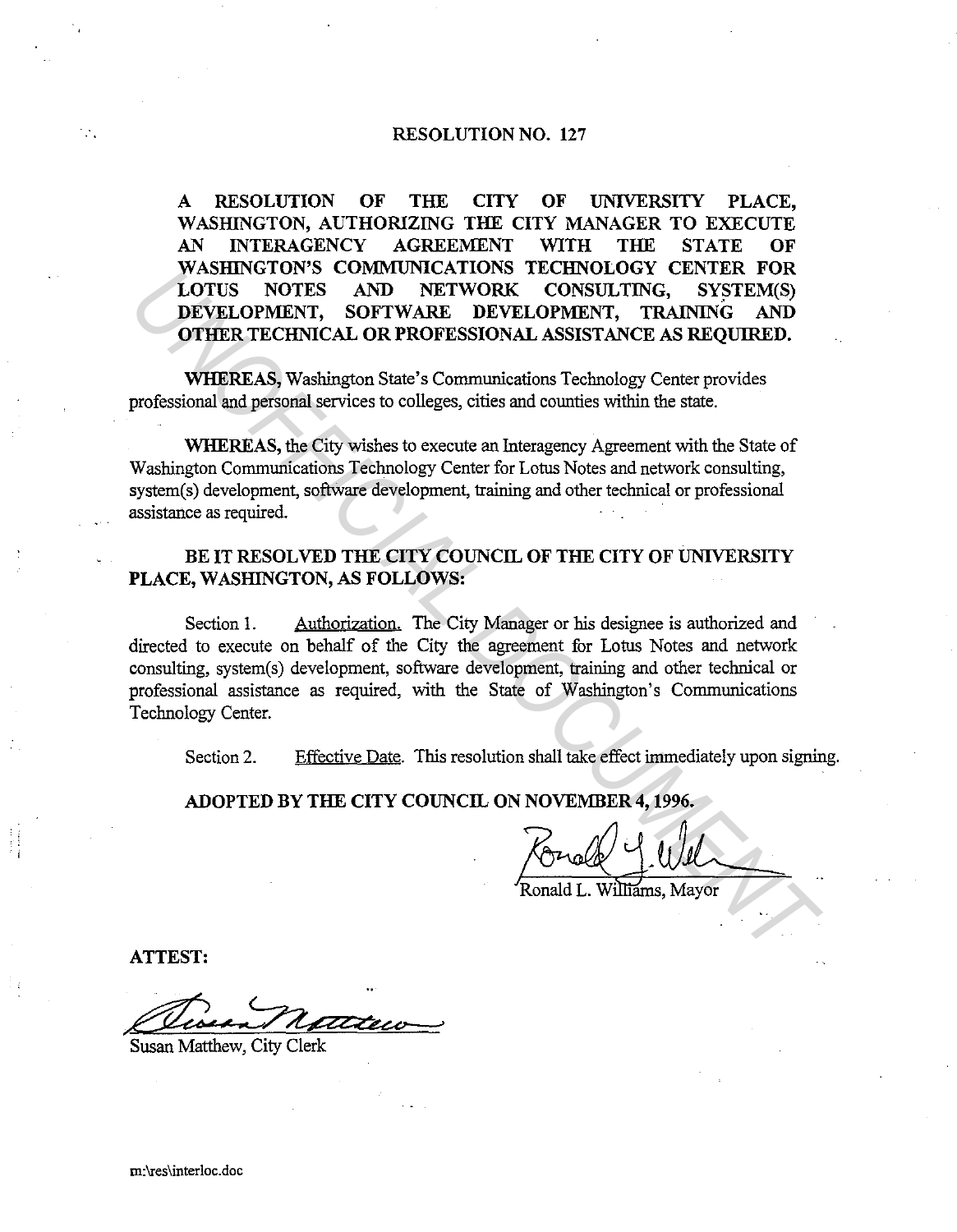## **RESOLUTION NO. 127**

**A RESOLUTION OF THE CITY OF UNIVERSITY PLACE, WASIIlNGTON, AUTHORIZING THE CITY MANAGER TO EXECUTE AN INTERAGENCY AGREEMENT WITH THE STATE OF WASIIlNGTON'S COMMUNICATIONS TECHNOLOGY CENTER FOR LOTUS NOTES AND NETWORK CONSULTING, SYSTEM(S) DEVELOPMENT, SOFTWARE DEVELOPMENT, TRAINING AND OTHER TECHNICAL OR PROFESSIONAL ASSISTANCE AS REQUIRED.** 

**WHEREAS,** Washington State's Comrmmications Technology Center provides professional and personal services to colleges, cities and counties within the state.

**WHEREAS,** the City wishes to execute an Interagency Agreement with the State of Washington Communications Technology Center for Lotus Notes and network consulting, system(s) development, software development, training and other technical or professional assistance as required.

# **BE IT RESOLVED THE CITY COUNCIL OF THE CITY OF UNIVERSITY PLACE, WASIIlNGTON, AS FOLLOWS:**

Section 1. Authorization. The City Manager or his designee is authorized and directed to execute on behalf of the City the agreement for Lotus Notes and network consulting, system(s) development, software development, training and other technical or professional assistance as required, with the State of Washington's Communications Technology Center. WASHINGTON SCOMMODING FICHOLOGY CEATER FOR THE CITY COUNCILED BY THE CITY COUNCILED BY THE CITY COUNCIL ON NOVEMBER 4, 1996.<br> **DEVELOPMENT**, SOFTWARE DEVELOPMENT, TRAINING AND OTHER TECHNICO, BYSTEM(S) DEVELOPMENT, SOFTWAR

Section 2. Effective Date. This resolution shall take effect immediately upon signing.

**ADOPTED BY THE CITY COUNCIL ON NOVEMBER 4, 1996.** 

Williams, Mavor

**ATTEST:** 

Susan Matthew, City Clerk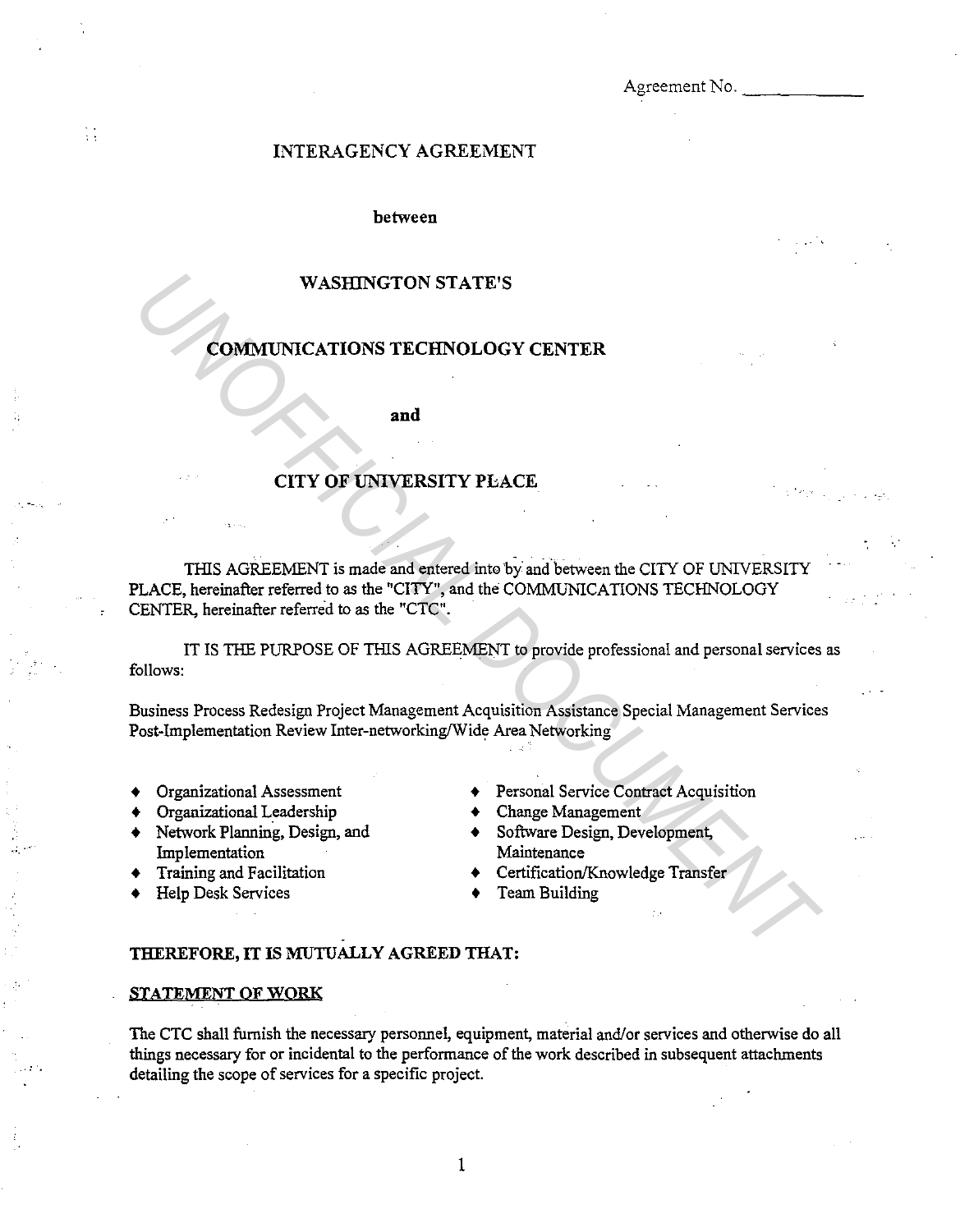Agreement No.

# INTERAGENCY AGREEMENT

## between

## WASHINGTON STATE'S

# COMMUNICATIONS TECHNOLOGY CENTER

**and** 

# CITY OF UNIVERSITY PLACE

THIS AGREEMENT is made and entered into by and between the CITY OF UNIVERSITY PLACE, hereinafter referred to as the "CITY", and the COMMUNICATIONS TECHNOLOGY CENTER, hereinafter referred to as the "CTC". WASHINGTON STATE'S<br> **COMMUNICATIONS TECHNOLOGY CENTER**<br>
THES AGREEMENT is made and exterd in the byand between the CITY OF UNIVERSITY<br>
THES AGREEMENT is made and exterd in the byand between the CITY OF UNIVERSITY<br>
PLACE, h

IT IS THE PURPOSE OF THIS AGREEMENT to provide professional and personal services as follows:

Business Process Redesign Project Management Acquisition Assistance Special Management Services Post-Implementation Review Inter-networking/Wide Area Networking

- 
- 
- Organizational Leadership<br>Network Planning, Design, and Implementation
- 
- Help Desk Services

. -- .

 $\frac{1}{3}$ 

,;\_·-·

- Organizational Assessment  $\leftrightarrow$  Personal Service Contract Acquisition<br>Organizational Leadership  $\leftrightarrow$  Change Management
	-
	- Software Design, Development, Maintenance
- Training and Facilitation  $\longleftrightarrow$  Certification/Knowledge Transfer<br>Help Desk Services  $\longleftrightarrow$  Team Building
	-

#### THEREFORE, IT IS MUTUALLY AGREED THAT:

### STATEMENT OF WQRK

The CTC shall furnish the necessary personnel, equipment, material and/or services and otherwise do all things necessary for or incidental to the performance of the work described in subsequent attachments detailing the scope of services for a specific project.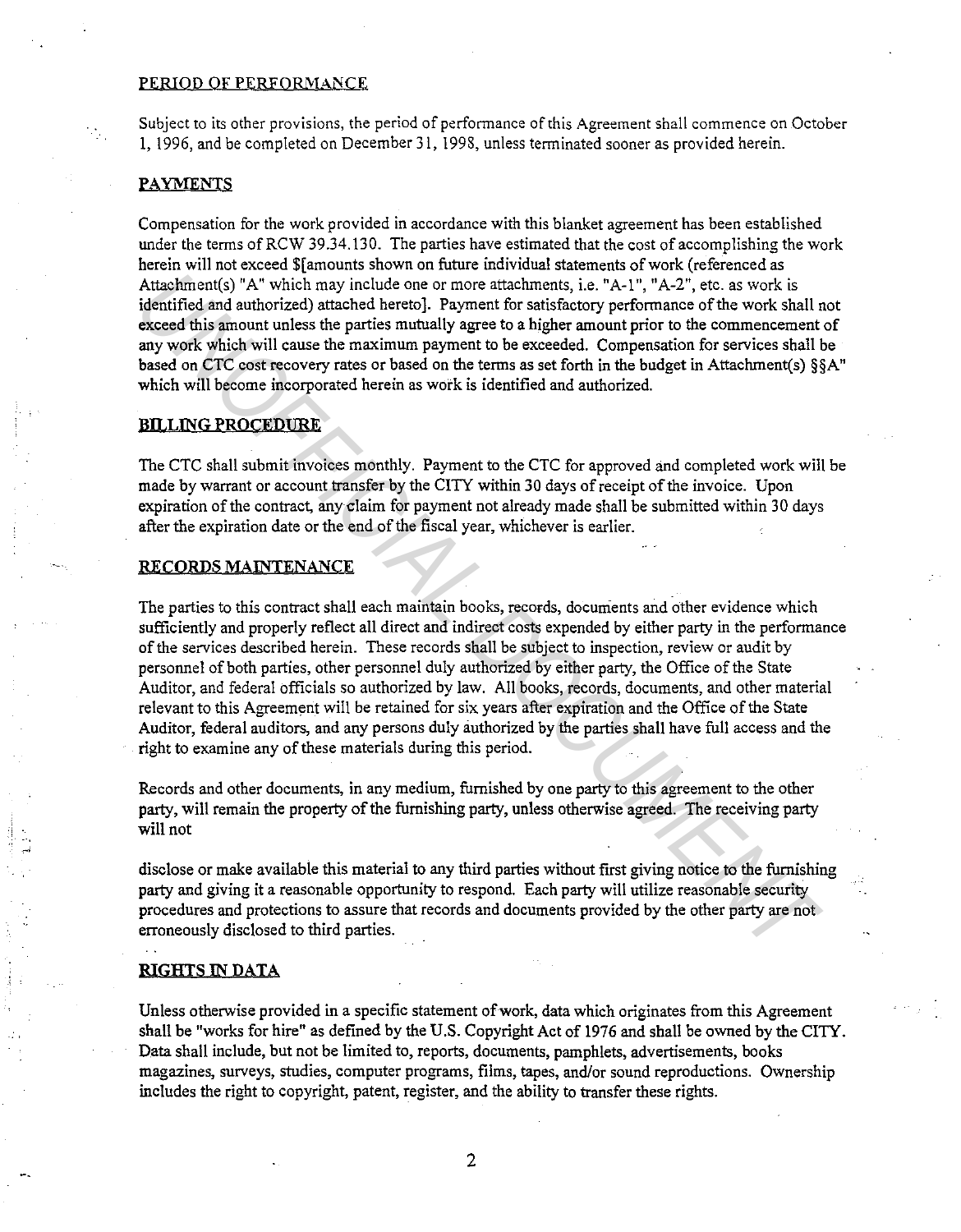## PERIOD OF PERFORMANCE

Subject to its other provisions, the period of performance of this Agreement shall commence on October l, 1996, and be completed on December 31, 1998, unless terminated sooner as provided herein.

## **PAYMENTS**

Compensation for the work provided in accordance with this blanket agreement has been established under the terms of RCW 39.34.130. The parties have estimated that the cost of accomplishing the work herein will not exceed \$[amounts shown on future individual statements of work (referenced as Attachment(s) "A" which may include one or more attachments, i.e. "A-1", "A-2", etc. as work is identified and authorized) attached hereto]. Payment for satisfactory performance of the work shall not exceed this amount unless the parties mutually agree to a higher amount prior to the commencement of any work which will cause the maximum payment to be exceeded. Compensation for services shall be based on CTC cost recovery rates or based on the terms as set forth in the budget in Attachment(s) §§A" which will become incorporated herein as work is identified and authorized.

## BIILJNG PROCEDURE

The CTC shall submit invoices monthly. Payment to the CTC for approved and completed work will be made by warrant or account transfer by the CITY within 30 days of receipt of the invoice. Upon expiration of the contract, any claim for payment not already made shall be submitted within 30 days after the expiration date or the end of the fiscal year, whichever is earlier.

#### RECORDS MAINTENANCE

The parties to this contract shall each maintain books, records, documents and other evidence which sufficiently and properly reflect all direct and indirect costs expended by either party in the performance of the services described herein. These records shall be subject to inspection, review or audit by personnel of both parties, other personnel duly authorized by either party, the Office of the State Auditor, and federal officials so authorized by law. All books, records, documents, and other material relevant to this Agreement will be retained for six years after expiration and the Office of the State Auditor, federal auditors, and any persons duly authorized by the parties shall have full access and the right to examine any of these materials during this period. Attachment(s) "A" which may include one or more attachments, i.e. "A-1", "A-2", etc. as work is detricted and anthorized) attached rerect). Payment for easifectory performance of the work shall denoted which excelled this

Records and other documents, in any medium, furnished by one party to this agreement to the other party, will remain the property of the furnishing party, unless otherwise agreed. The receiving party will not

disclose or make available this material to any third parties without first giving notice to the furnishing party and giving it a reasonable opportunity to respond. Each party will utilize reasonable security procedures and protections to assure that records and documents provided by the other party are not erroneously disclosed to third parties.

#### RIGHTS IN DATA

Unless otherwise provided in a specific statement of work, data which originates from this Agreement shall be "works for hire" as defined by the U.S. Copyright Act of 1976 and shall be owned by the CITY. Data shall include, but not be limited to, reports, documents, pamphlets, advertisements, books magazines, surveys, studies, computer programs, films, tapes, and/or sound reproductions. Ownership includes the right to copyright, patent, register, and the ability to transfer these rights.

2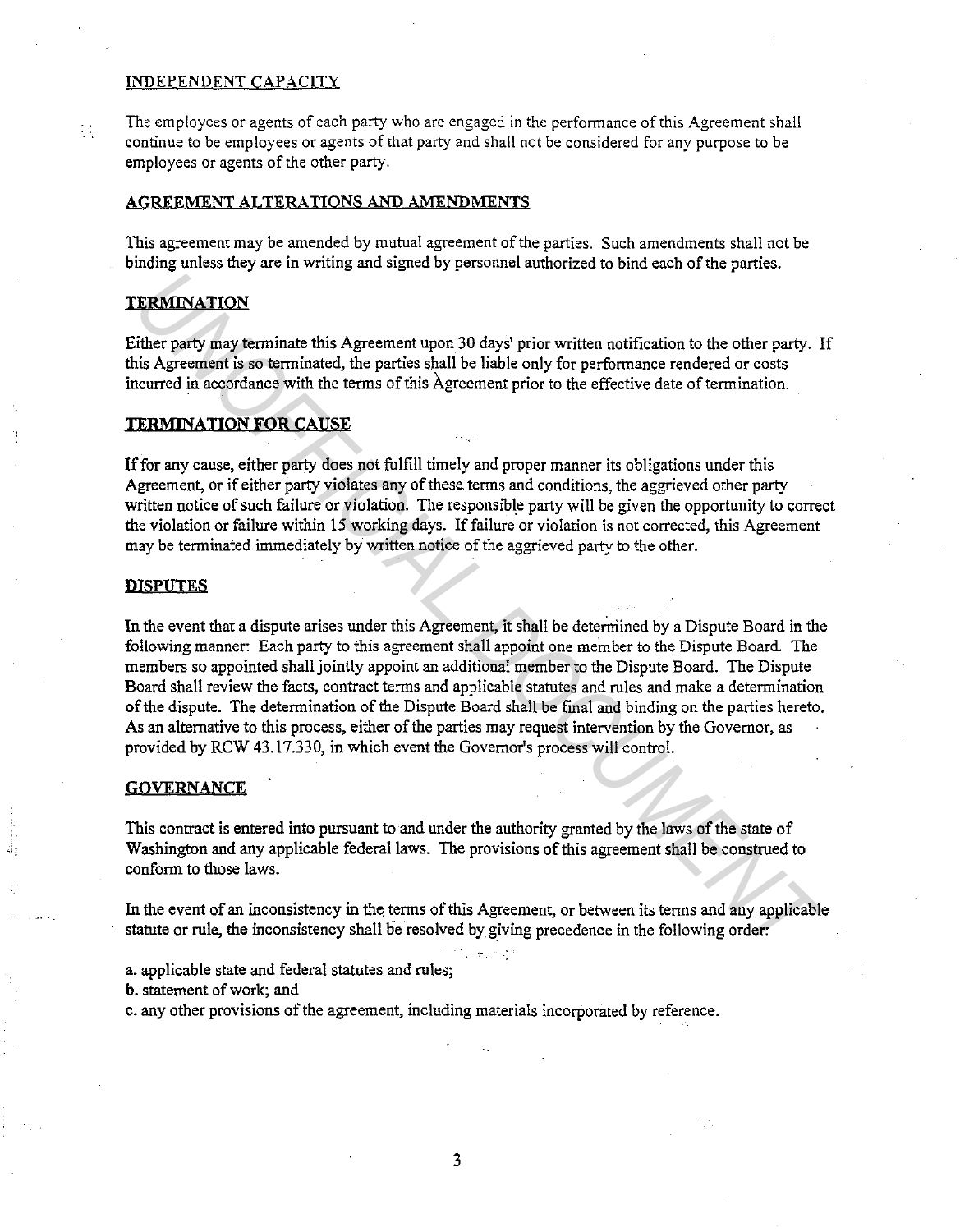## INDEPENDENT CAPACITY

The employees or agents of each party who are engaged in the performance of this Agreement shall continue to be employees or agents of that party and shall not be considered for any purpose to be employees or agents of the other party.

## AGREEMENT ALTERATIONS AND AMENDMENTS

This agreement may be amended by mutual agreement of the parties. Such amendments shall not be binding unless they are in writing and signed by personnel authorized to bind each of the parties.

## **TERMINATION**

 $\frac{1}{2}$  .

Either party may terminate this Agreement upon 30 days' prior written notification to the other party. If this Agreement is so terminated, the parties shall be liable only for performance rendered or costs incurred in accordance with the terms of this Agreement prior to the effective date of termination.

## TERMINATION FOR CAUSE

If for any cause, either party does not fulfill timely and proper manner its obligations under this Agreement, or if either party violates any of these terms and conditions, the aggrieved other party written notice of such failure or violation. The responsible party will be given the opportunity to correct the violation or failure within 15 working days. If failure or violation is not corrected, this Agreement may be terminated immediately by written notice of the aggrieved party to the other.

#### **DISPUTES**

In the event that a dispute arises under this Agreement, it shall be determined by a Dispute Board in the following manner: Each party to this agreement shall appoint one member to the Dispute Board. The members so appointed shall jointly appoint an additional member to the Dispute Board. The Dispute Board shall review the facts, contract terms and applicable statutes and rules and make a determination of the dispute. The determination of the Dispute Board shall be final and binding on the parties hereto. As an alternative to this process, either of the parties may request intervention by the Governor, as provided by RCW 43.17.330, in which event the Governor's process will control. **UNITEE THE SET AND SET AS A SET AND SET AND SET AND SET AND SET AND SET AND SET AND SET AND SET AND SET AND SET AND SET AND SET AND SET AND SET AND SET AND SET AND SET AND SET AND SET AND SET AND SET AND SET AND SET AND S** 

## **GOVERNANCE**

This contract is entered into pursuant to and under the authority granted by the laws of the state of Washington and any applicable federal laws. The provisions of this agreement shall be construed to conform to those laws.

In the event of an inconsistency in the terms of this Agreement, or between its terms and any applicable statute or rule, the inconsistency shall be resolved by giving precedence in the following order:

a. applicable state and federal statutes and rules;

b. statement of work; and

c. any other provisions of the agreement, including materials incorporated by reference.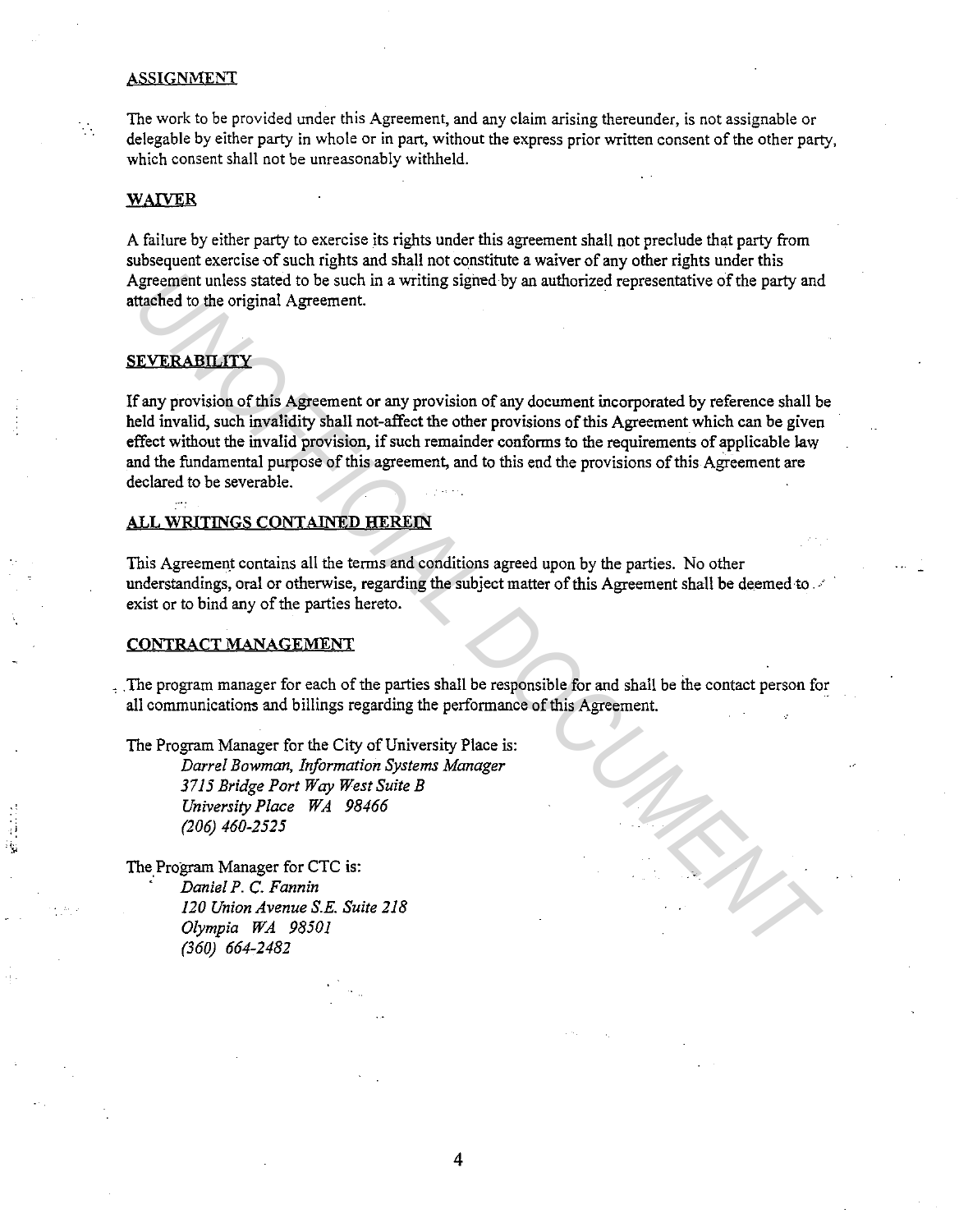### ASSIGNMENT

The work to be provided under this Agreement, and any claim arising thereunder, is not assignable or delegable by either party in whole or in part, without the express prior written consent of the other party, which consent shall not be unreasonably withheld.

### WAIVER

 $\mathcal{L}_{\mathcal{A}}$ 

A failure by either party to exercise its rights under this agreement shall not preclude that party from subsequent exercise of such rights and shall not constitute a waiver of any other rights under this Agreement unless stated to be such in a writing signed by an authorized representative of the party and attached to the original Agreement.

# **SEVERABILITY**

If any provision of this Agreement or any provision of any document incorporated by reference shall be held invalid, such invalidity shall not-affect the other provisions of this Agreement which can be given effect without the invalid provision, if such remainder conforms to the requirements of applicable law and the fundamental purpose of this agreement, and to this end the provisions of this Agreement are declared to be severable. Agreement unless stated to be such in a writing signed by an authorized representative of the party and<br> **IEVERABILITY**<br> **IEVERABILITY**<br> **IEVERABILITY**<br> **IEVERABILITY**<br> **IEVERABILITY**<br> **IEVERABILITY**<br> **IEVERABILITY**<br> **IEVE** 

## ALL WRITINGS CONTAINED HEREIN

This Agreement contains all the terms and conditions agreed upon by the parties. No other understandings, oral or otherwise, regarding the subject matter of this Agreement shall be deemed to . exist or to bind any of the parties hereto.

#### CONTRACT MANAGEMENT

.The program manager for each of the parties shall be responsible for and shall be the contact person for all communications and billings regarding the performance of this Agreement.

The Program Manager for the City of University Place is: *Darrel Bowman, Information Systems Manager* 

*3715 Bridge Port Way West Suite B University Place WA 98466 (206) 460-2525* 

The Program Manager for CTC is: · *Daniel P.* C. *Fannin 120 Union Avenue S.E. Suite 218 Olympia WA 98501 (360) 664-2482*